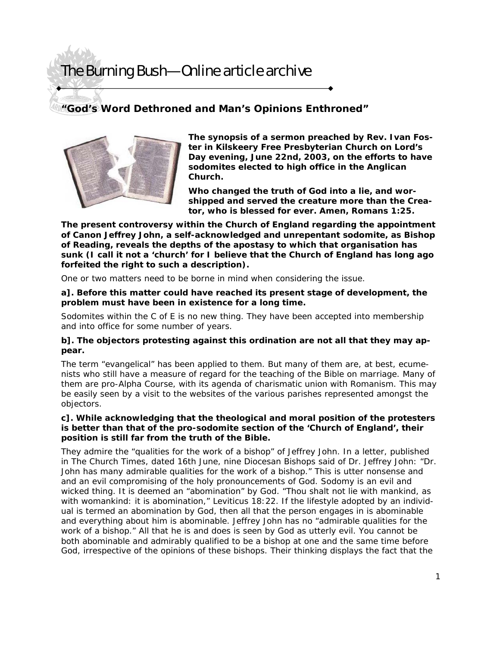### **"God's Word Dethroned and Man's Opinions Enthroned"**



**The synopsis of a sermon preached by Rev. Ivan Foster in Kilskeery Free Presbyterian Church on Lord's Day evening, June 22nd, 2003, on the efforts to have sodomites elected to high office in the Anglican Church.** 

**Who changed the truth of God into a lie, and worshipped and served the creature more than the Creator, who is blessed for ever. Amen, Romans 1:25.** 

**The present controversy within the Church of England regarding the appointment of Canon Jeffrey John, a self-acknowledged and unrepentant sodomite, as Bishop of Reading, reveals the depths of the apostasy to which that organisation has sunk (I call it not a 'church' for I believe that the Church of England has long ago forfeited the right to such a description).** 

One or two matters need to be borne in mind when considering the issue.

**a]. Before this matter could have reached its present stage of development, the problem must have been in existence for a long time.** 

Sodomites within the C of E is no new thing. They have been accepted into membership and into office for some number of years.

#### **b]. The objectors protesting against this ordination are not all that they may appear.**

The term "evangelical" has been applied to them. But many of them are, at best, ecumenists who still have a measure of regard for the teaching of the Bible on marriage. Many of them are pro-Alpha Course, with its agenda of charismatic union with Romanism. This may be easily seen by a visit to the websites of the various parishes represented amongst the objectors.

#### **c]. While acknowledging that the theological and moral position of the protesters is better than that of the pro-sodomite section of the 'Church of England', their position is still far from the truth of the Bible.**

They admire the "qualities for the work of a bishop" of Jeffrey John. In a letter, published in The Church Times, dated 16th June, nine Diocesan Bishops said of Dr. Jeffrey John: "Dr. John has many admirable qualities for the work of a bishop." This is utter nonsense and and an evil compromising of the holy pronouncements of God. Sodomy is an evil and wicked thing. It is deemed an "abomination" by God. "Thou shalt not lie with mankind, as with womankind: it is abomination," Leviticus 18:22. If the lifestyle adopted by an individual is termed an abomination by God, then all that the person engages in is abominable and everything about him is abominable. Jeffrey John has no "admirable qualities for the work of a bishop." All that he is and does is seen by God as utterly evil. You cannot be both abominable and admirably qualified to be a bishop at one and the same time before God, irrespective of the opinions of these bishops. Their thinking displays the fact that the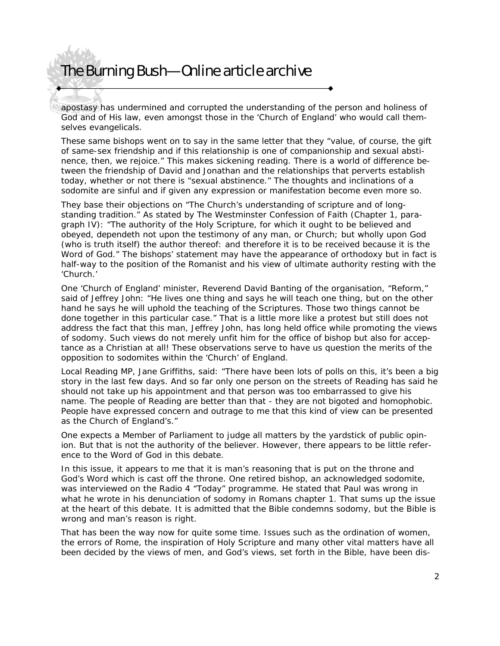apostasy has undermined and corrupted the understanding of the person and holiness of God and of His law, even amongst those in the 'Church of England' who would call themselves evangelicals.

These same bishops went on to say in the same letter that they "value, of course, the gift of same-sex friendship and if this relationship is one of companionship and sexual abstinence, then, we rejoice." This makes sickening reading. There is a world of difference between the friendship of David and Jonathan and the relationships that perverts establish today, whether or not there is "sexual abstinence." The thoughts and inclinations of a sodomite are sinful and if given any expression or manifestation become even more so.

They base their objections on "The Church's understanding of scripture and of longstanding tradition." As stated by The Westminster Confession of Faith (Chapter 1, paragraph IV): "The authority of the Holy Scripture, for which it ought to be believed and obeyed, dependeth not upon the testimony of any man, or Church; but wholly upon God (who is truth itself) the author thereof: and therefore it is to be received because it is the Word of God." The bishops' statement may have the appearance of orthodoxy but in fact is half-way to the position of the Romanist and his view of ultimate authority resting with the 'Church.'

One 'Church of England' minister, Reverend David Banting of the organisation, "Reform," said of Jeffrey John: "He lives one thing and says he will teach one thing, but on the other hand he says he will uphold the teaching of the Scriptures. Those two things cannot be done together in this particular case." That is a little more like a protest but still does not address the fact that this man, Jeffrey John, has long held office while promoting the views of sodomy. Such views do not merely unfit him for the office of bishop but also for acceptance as a Christian at all! These observations serve to have us question the merits of the opposition to sodomites within the 'Church' of England.

Local Reading MP, Jane Griffiths, said: "There have been lots of polls on this, it's been a big story in the last few days. And so far only one person on the streets of Reading has said he should not take up his appointment and that person was too embarrassed to give his name. The people of Reading are better than that - they are not bigoted and homophobic. People have expressed concern and outrage to me that this kind of view can be presented as the Church of England's."

One expects a Member of Parliament to judge all matters by the yardstick of public opinion. But that is not the authority of the believer. However, there appears to be little reference to the Word of God in this debate.

In this issue, it appears to me that it is man's reasoning that is put on the throne and God's Word which is cast off the throne. One retired bishop, an acknowledged sodomite, was interviewed on the Radio 4 "Today" programme. He stated that Paul was wrong in what he wrote in his denunciation of sodomy in Romans chapter 1. That sums up the issue at the heart of this debate. It is admitted that the Bible condemns sodomy, but the Bible is wrong and man's reason is right.

That has been the way now for quite some time. Issues such as the ordination of women, the errors of Rome, the inspiration of Holy Scripture and many other vital matters have all been decided by the views of men, and God's views, set forth in the Bible, have been dis-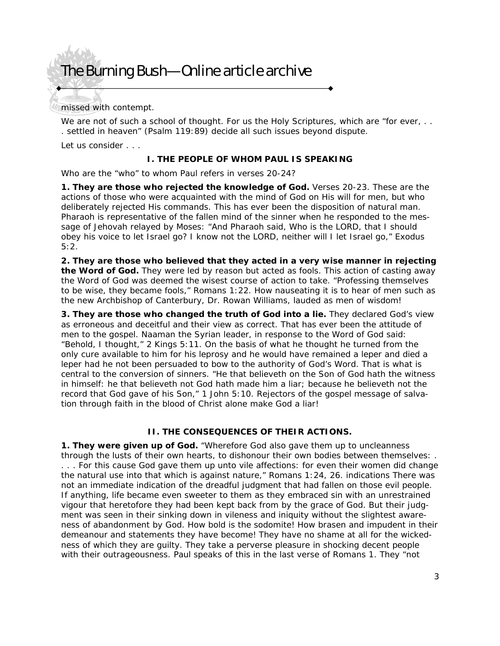missed with contempt.

We are not of such a school of thought. For us the Holy Scriptures, which are "for ever, .. . settled in heaven" (Psalm 119:89) decide all such issues beyond dispute.

Let us consider . . .

#### **I. THE PEOPLE OF WHOM PAUL IS SPEAKING**

Who are the "who" to whom Paul refers in verses 20-24?

**1. They are those who rejected the knowledge of God.** Verses 20-23. These are the actions of those who were acquainted with the mind of God on His will for men, but who deliberately rejected His commands. This has ever been the disposition of natural man. Pharaoh is representative of the fallen mind of the sinner when he responded to the message of Jehovah relayed by Moses: "And Pharaoh said, Who is the LORD, that I should obey his voice to let Israel go? I know not the LORD, neither will I let Israel go," Exodus  $5:2.$ 

**2. They are those who believed that they acted in a very wise manner in rejecting the Word of God.** They were led by reason but acted as fools. This action of casting away the Word of God was deemed the wisest course of action to take. "Professing themselves to be wise, they became fools," Romans 1:22. How nauseating it is to hear of men such as the new Archbishop of Canterbury, Dr. Rowan Williams, lauded as men of wisdom!

**3. They are those who changed the truth of God into a lie.** They declared God's view as erroneous and deceitful and their view as correct. That has ever been the attitude of men to the gospel. Naaman the Syrian leader, in response to the Word of God said: "Behold, I thought," 2 Kings 5:11. On the basis of what he thought he turned from the only cure available to him for his leprosy and he would have remained a leper and died a leper had he not been persuaded to bow to the authority of God's Word. That is what is central to the conversion of sinners. "He that believeth on the Son of God hath the witness in himself: he that believeth not God hath made him a liar; because he believeth not the record that God gave of his Son," 1 John 5:10. Rejectors of the gospel message of salvation through faith in the blood of Christ alone make God a liar!

#### **II. THE CONSEQUENCES OF THEIR ACTIONS.**

**1. They were given up of God.** "Wherefore God also gave them up to uncleanness through the lusts of their own hearts, to dishonour their own bodies between themselves: . . . . For this cause God gave them up unto vile affections: for even their women did change the natural use into that which is against nature," Romans 1:24, 26. indications There was not an immediate indication of the dreadful judgment that had fallen on those evil people. If anything, life became even sweeter to them as they embraced sin with an unrestrained vigour that heretofore they had been kept back from by the grace of God. But their judgment was seen in their sinking down in vileness and iniquity without the slightest awareness of abandonment by God. How bold is the sodomite! How brasen and impudent in their demeanour and statements they have become! They have no shame at all for the wickedness of which they are guilty. They take a perverse pleasure in shocking decent people with their outrageousness. Paul speaks of this in the last verse of Romans 1. They "not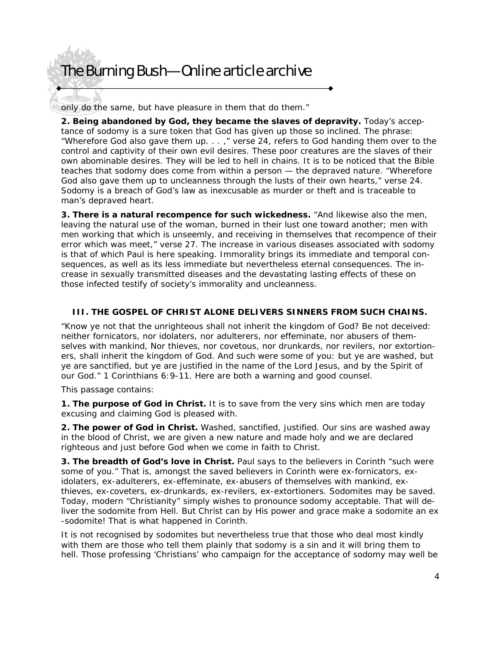only do the same, but have pleasure in them that do them."

**2. Being abandoned by God, they became the slaves of depravity.** Today's acceptance of sodomy is a sure token that God has given up those so inclined. The phrase: "Wherefore God also gave them up. . . ," verse 24, refers to God handing them over to the control and captivity of their own evil desires. These poor creatures are the slaves of their own abominable desires. They will be led to hell in chains. It is to be noticed that the Bible teaches that sodomy does come from within a person — the depraved nature. "Wherefore God also gave them up to uncleanness through the lusts of their own hearts," verse 24. Sodomy is a breach of God's law as inexcusable as murder or theft and is traceable to man's depraved heart.

**3. There is a natural recompence for such wickedness.** "And likewise also the men, leaving the natural use of the woman, burned in their lust one toward another; men with men working that which is unseemly, and receiving in themselves that recompence of their error which was meet," verse 27. The increase in various diseases associated with sodomy is that of which Paul is here speaking. Immorality brings its immediate and temporal consequences, as well as its less immediate but nevertheless eternal consequences. The increase in sexually transmitted diseases and the devastating lasting effects of these on those infected testify of society's immorality and uncleanness.

#### **III. THE GOSPEL OF CHRIST ALONE DELIVERS SINNERS FROM SUCH CHAINS.**

"Know ye not that the unrighteous shall not inherit the kingdom of God? Be not deceived: neither fornicators, nor idolaters, nor adulterers, nor effeminate, nor abusers of themselves with mankind, Nor thieves, nor covetous, nor drunkards, nor revilers, nor extortioners, shall inherit the kingdom of God. And such were some of you: but ye are washed, but ye are sanctified, but ye are justified in the name of the Lord Jesus, and by the Spirit of our God." 1 Corinthians 6:9-11. Here are both a warning and good counsel.

This passage contains:

**1. The purpose of God in Christ.** It is to save from the very sins which men are today excusing and claiming God is pleased with.

**2. The power of God in Christ.** Washed, sanctified, justified. Our sins are washed away in the blood of Christ, we are given a new nature and made holy and we are declared righteous and just before God when we come in faith to Christ.

**3. The breadth of God's love in Christ.** Paul says to the believers in Corinth "such were some of you." That is, amongst the saved believers in Corinth were ex-fornicators, exidolaters, ex-adulterers, ex-effeminate, ex-abusers of themselves with mankind, exthieves, ex-coveters, ex-drunkards, ex-revilers, ex-extortioners. Sodomites may be saved. Today, modern "Christianity" simply wishes to pronounce sodomy acceptable. That will deliver the sodomite from Hell. But Christ can by His power and grace make a sodomite an ex -sodomite! That is what happened in Corinth.

It is not recognised by sodomites but nevertheless true that those who deal most kindly with them are those who tell them plainly that sodomy is a sin and it will bring them to hell. Those professing 'Christians' who campaign for the acceptance of sodomy may well be